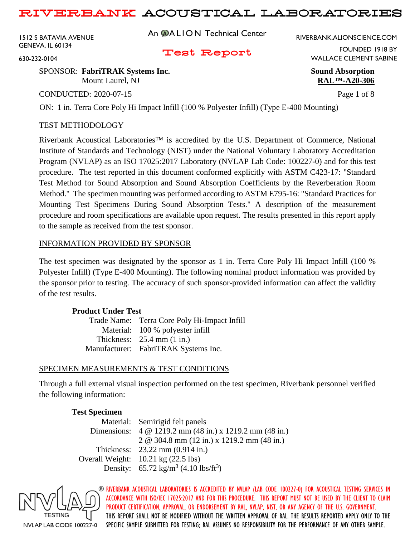1512 S BATAVIA AVENUE GENEVA, IL 60134

An **@ALION** Technical Center

RIVERBANK.ALIONSCIENCE.COM

### Test Report

WALLACE CLEMENT SABINE

FOUNDED 1918 BY

630-232-0104

#### SPONSOR: **FabriTRAK Systems Inc. Sound Absorption** Mount Laurel, NJ **RAL™-A20-306**

CONDUCTED: 2020-07-15 Page 1 of 8

ON: 1 in. Terra Core Poly Hi Impact Infill (100 % Polyester Infill) (Type E-400 Mounting)

## TEST METHODOLOGY

Riverbank Acoustical Laboratories™ is accredited by the U.S. Department of Commerce, National Institute of Standards and Technology (NIST) under the National Voluntary Laboratory Accreditation Program (NVLAP) as an ISO 17025:2017 Laboratory (NVLAP Lab Code: 100227-0) and for this test procedure. The test reported in this document conformed explicitly with ASTM C423-17: "Standard Test Method for Sound Absorption and Sound Absorption Coefficients by the Reverberation Room Method." The specimen mounting was performed according to ASTM E795-16: "Standard Practices for Mounting Test Specimens During Sound Absorption Tests." A description of the measurement procedure and room specifications are available upon request. The results presented in this report apply to the sample as received from the test sponsor.

### INFORMATION PROVIDED BY SPONSOR

The test specimen was designated by the sponsor as 1 in. Terra Core Poly Hi Impact Infill (100 % Polyester Infill) (Type E-400 Mounting). The following nominal product information was provided by the sponsor prior to testing. The accuracy of such sponsor-provided information can affect the validity of the test results.

### **Product Under Test**

| Trade Name: Terra Core Poly Hi-Impact Infill |
|----------------------------------------------|
| Material: 100 % polyester infill             |
| Thickness: $25.4$ mm $(1 \text{ in.})$       |
| Manufacturer: FabriTRAK Systems Inc.         |

## SPECIMEN MEASUREMENTS & TEST CONDITIONS

Through a full external visual inspection performed on the test specimen, Riverbank personnel verified the following information:

### **Test Specimen**

| Material: Semirigid felt panels                                                                 |
|-------------------------------------------------------------------------------------------------|
| Dimensions: $4 \& 1219.2 \text{ mm} (48 \text{ in.}) \times 1219.2 \text{ mm} (48 \text{ in.})$ |
| 2 @ 304.8 mm $(12 \text{ in.})$ x 1219.2 mm $(48 \text{ in.})$                                  |
| Thickness: $23.22 \text{ mm} (0.914 \text{ in.})$                                               |
| Overall Weight: $10.21 \text{ kg} (22.5 \text{ lbs})$                                           |
| Density: $65.72 \text{ kg/m}^3 (4.10 \text{ lbs/ft}^3)$                                         |

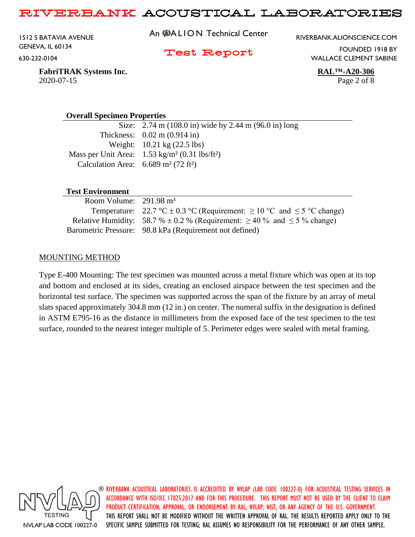1512 S BATAVIA AVENUE GENEVA, IL 60134 630-232-0104

An **@ALION** Technical Center

RIVERBANK.ALIONSCIENCE.COM

Test Report

FOUNDED 1918 BY WALLACE CLEMENT SABINE

**FabriTRAK Systems Inc. RAL™-A20-306** 2020-07-15 Page 2 of 8

#### **Overall Specimen Properties**

Size: 2.74 m (108.0 in) wide by 2.44 m (96.0 in) long Thickness: 0.02 m (0.914 in) Weight: 10.21 kg (22.5 lbs) Mass per Unit Area: 1.53 kg/m² (0.31 lbs/ft²) Calculation Area:  $6.689 \text{ m}^2 (72 \text{ ft}^2)$ 

#### **Test Environment**

| Room Volume: $291.98 \text{ m}^3$ |                                                                                                                      |
|-----------------------------------|----------------------------------------------------------------------------------------------------------------------|
|                                   | Temperature: $22.7 \text{ °C} \pm 0.3 \text{ °C}$ (Requirement: $\geq 10 \text{ °C}$ and $\leq 5 \text{ °C}$ change) |
|                                   | Relative Humidity: 58.7 % $\pm$ 0.2 % (Requirement: $\geq$ 40 % and $\leq$ 5 % change)                               |
|                                   | Barometric Pressure: 98.8 kPa (Requirement not defined)                                                              |

### MOUNTING METHOD

Type E-400 Mounting: The test specimen was mounted across a metal fixture which was open at its top and bottom and enclosed at its sides, creating an enclosed airspace between the test specimen and the horizontal test surface. The specimen was supported across the span of the fixture by an array of metal slats spaced approximately 304.8 mm (12 in.) on center. The numeral suffix in the designation is defined in ASTM E795-16 as the distance in millimeters from the exposed face of the test specimen to the test surface, rounded to the nearest integer multiple of 5. Perimeter edges were sealed with metal framing.

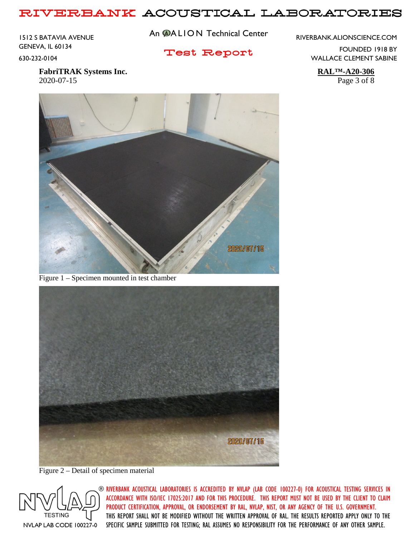1512 S BATAVIA AVENUE GENEVA, IL 60134 630-232-0104

An **@ALION** Technical Center

RIVERBANK.ALIONSCIENCE.COM

### Test Report

FOUNDED 1918 BY WALLACE CLEMENT SABINE

**FabriTRAK Systems Inc. RAL™-A20-306** 2020-07-15 Page 3 of 8



Figure 1 – Specimen mounted in test chamber



Figure 2 – Detail of specimen material

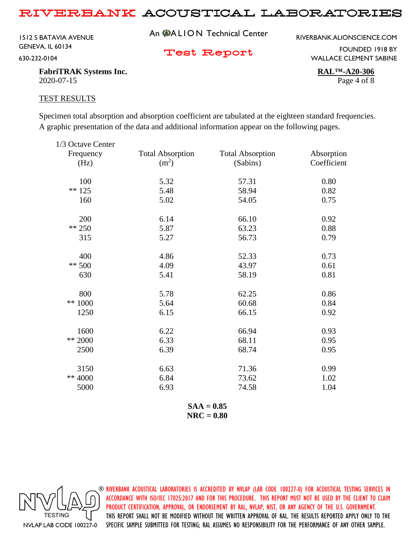1512 S BATAVIA AVENUE GENEVA, IL 60134 630-232-0104

An **@ALION** Technical Center

RIVERBANK.ALIONSCIENCE.COM

Test Report

FOUNDED 1918 BY WALLACE CLEMENT SABINE

**FabriTRAK Systems Inc. RAL™-A20-306** 2020-07-15 Page 4 of 8

#### TEST RESULTS

Specimen total absorption and absorption coefficient are tabulated at the eighteen standard frequencies. A graphic presentation of the data and additional information appear on the following pages.

| 1/3 Octave Center |                         |                         |             |
|-------------------|-------------------------|-------------------------|-------------|
| Frequency         | <b>Total Absorption</b> | <b>Total Absorption</b> | Absorption  |
| (Hz)              | (m <sup>2</sup> )       | (Sabins)                | Coefficient |
| 100               | 5.32                    | 57.31                   | 0.80        |
| $** 125$          | 5.48                    | 58.94                   | 0.82        |
| 160               | 5.02                    | 54.05                   | 0.75        |
| 200               | 6.14                    | 66.10                   | 0.92        |
| ** 250            | 5.87                    | 63.23                   | 0.88        |
| 315               | 5.27                    | 56.73                   | 0.79        |
| 400               | 4.86                    | 52.33                   | 0.73        |
| $** 500$          | 4.09                    | 43.97                   | 0.61        |
| 630               | 5.41                    | 58.19                   | 0.81        |
| 800               | 5.78                    | 62.25                   | 0.86        |
| ** 1000           | 5.64                    | 60.68                   | 0.84        |
| 1250              | 6.15                    | 66.15                   | 0.92        |
| 1600              | 6.22                    | 66.94                   | 0.93        |
| ** 2000           | 6.33                    | 68.11                   | 0.95        |
| 2500              | 6.39                    | 68.74                   | 0.95        |
| 3150              | 6.63                    | 71.36                   | 0.99        |
| ** 4000           | 6.84                    | 73.62                   | 1.02        |
| 5000              | 6.93                    | 74.58                   | 1.04        |
|                   |                         |                         |             |

**SAA = 0.85 NRC = 0.80**

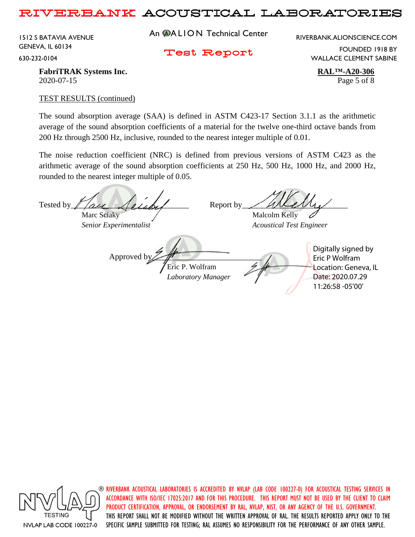1512 S BATAVIA AVENUE GENEVA, IL 60134 630-232-0104

An **@ALION** Technical Center

RIVERBANK.ALIONSCIENCE.COM

Test Report

FOUNDED 1918 BY WALLACE CLEMENT SABINE

**FabriTRAK Systems Inc. RAL™-A20-306** 2020-07-15 Page 5 of 8

### TEST RESULTS (continued)

The sound absorption average (SAA) is defined in ASTM C423-17 Section 3.1.1 as the arithmetic average of the sound absorption coefficients of a material for the twelve one-third octave bands from 200 Hz through 2500 Hz, inclusive, rounded to the nearest integer multiple of 0.01.

The noise reduction coefficient (NRC) is defined from previous versions of ASTM C423 as the arithmetic average of the sound absorption coefficients at 250 Hz, 500 Hz, 1000 Hz, and 2000 Hz, rounded to the nearest integer multiple of 0.05.

Tested by  $\ell$  are  $\ell$  and  $\ell$  . Report by Marc Sciaky  $\sqrt{M}$  Malcolm Kelly *Senior Experimentalist Acoustical Test Engineer* Approved b Eric P. Wolfram *Laboratory Manager* Digitally signed by Eric P Wolfram Location: Geneva, IL Date: 2020.07.29 11:26:58 -05'00'



 $\circledast$  riverbank acoustical laboratories is accredited by nylap (lab code 100227-0) for acoustical testing services in ACCORDANCE WITH ISO/IEC 17025:2017 AND FOR THIS PROCEDURE. THIS REPORT MUST NOT BE USED BY THE CLIENT TO CLAIM PRODUCT CERTIFICATION, APPROVAL, OR ENDORSEMENT BY RAL, NVLAP, NIST, OR ANY AGENCY OF THE U.S. GOVERNMENT. THIS REPORT SHALL NOT BE MODIFIED WITHOUT THE WRITTEN APPROVAL OF RAL. THE RESULTS REPORTED APPLY ONLY TO THE SPECIFIC SAMPLE SUBMITTED FOR TESTING; RAL ASSUMES NO RESPONSIBILITY FOR THE PERFORMANCE OF ANY OTHER SAMPLE.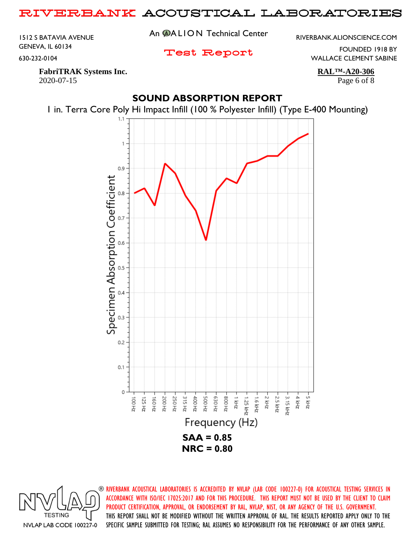1512 S BATAVIA AVENUE GENEVA, IL 60134 630-232-0104

An @ALION Technical Center

RIVERBANK.ALIONSCIENCE.COM

Test Report

FOUNDED 1918 BY WALLACE CLEMENT SABINE

**FabriTRAK Systems Inc. RAL™-A20-306** 2020-07-15 Page 6 of 8

# **SOUND ABSORPTION REPORT**

1 in. Terra Core Poly Hi Impact Infill (100 % Polyester Infill) (Type E-400 Mounting)



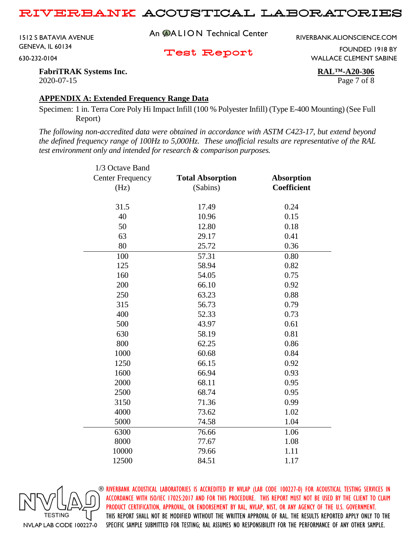1512 S BATAVIA AVENUE GENEVA, IL 60134 630-232-0104

An **@ALION** Technical Center

RIVERBANK.ALIONSCIENCE.COM

Test Report

FOUNDED 1918 BY WALLACE CLEMENT SABINE

**FabriTRAK Systems Inc. RAL™-A20-306** 2020-07-15 Page 7 of 8

### **APPENDIX A: Extended Frequency Range Data**

Specimen: 1 in. Terra Core Poly Hi Impact Infill (100 % Polyester Infill) (Type E-400 Mounting) (See Full Report)

*The following non-accredited data were obtained in accordance with ASTM C423-17, but extend beyond the defined frequency range of 100Hz to 5,000Hz. These unofficial results are representative of the RAL test environment only and intended for research & comparison purposes.* 

| 1/3 Octave Band         |                         |                    |
|-------------------------|-------------------------|--------------------|
| <b>Center Frequency</b> | <b>Total Absorption</b> | <b>Absorption</b>  |
| (Hz)                    | (Sabins)                | <b>Coefficient</b> |
|                         |                         |                    |
| 31.5                    | 17.49                   | 0.24               |
| 40                      | 10.96                   | 0.15               |
| 50                      | 12.80                   | 0.18               |
| 63                      | 29.17                   | 0.41               |
| 80                      | 25.72                   | 0.36               |
| 100                     | 57.31                   | 0.80               |
| 125                     | 58.94                   | 0.82               |
| 160                     | 54.05                   | 0.75               |
| 200                     | 66.10                   | 0.92               |
| 250                     | 63.23                   | 0.88               |
| 315                     | 56.73                   | 0.79               |
| 400                     | 52.33                   | 0.73               |
| 500                     | 43.97                   | 0.61               |
| 630                     | 58.19                   | 0.81               |
| 800                     | 62.25                   | 0.86               |
| 1000                    | 60.68                   | 0.84               |
| 1250                    | 66.15                   | 0.92               |
| 1600                    | 66.94                   | 0.93               |
| 2000                    | 68.11                   | 0.95               |
| 2500                    | 68.74                   | 0.95               |
| 3150                    | 71.36                   | 0.99               |
| 4000                    | 73.62                   | 1.02               |
| 5000                    | 74.58                   | 1.04               |
| 6300                    | 76.66                   | 1.06               |
| 8000                    | 77.67                   | 1.08               |
| 10000                   | 79.66                   | 1.11               |
| 12500                   | 84.51                   | 1.17               |